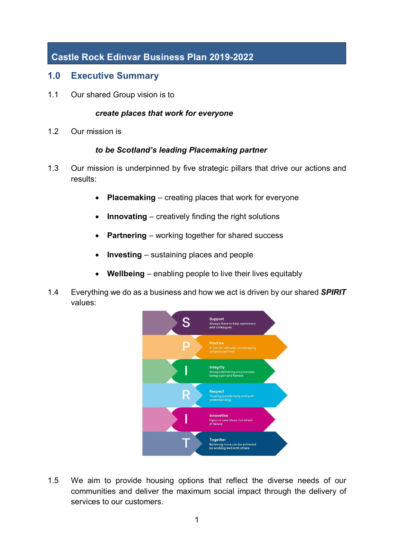# **Castle Rock Edinvar Business Plan 2019-2022**

#### **1.0 Executive Summary**

1.1 Our shared Group vision is to

#### *create places that work for everyone*

1.2 Our mission is

#### *to be Scotland's leading Placemaking partner*

- 1.3 Our mission is underpinned by five strategic pillars that drive our actions and results:
	- **Placemaking** creating places that work for everyone
	- **Innovating** creatively finding the right solutions
	- **Partnering** working together for shared success
	- **Investing** sustaining places and people
	- **Wellbeing** enabling people to live their lives equitably
- 1.4 Everything we do as a business and how we act is driven by our shared *SPIRIT* values:



1.5 We aim to provide housing options that reflect the diverse needs of our communities and deliver the maximum social impact through the delivery of services to our customers.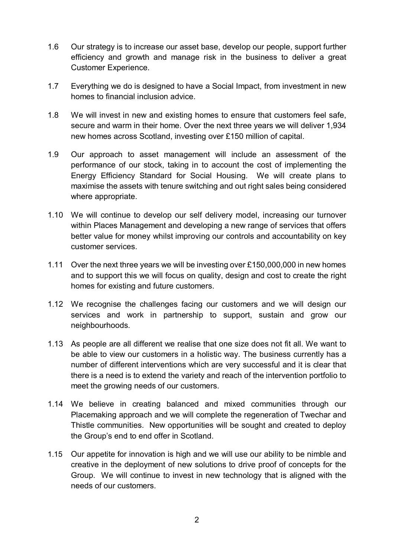- 1.6 Our strategy is to increase our asset base, develop our people, support further efficiency and growth and manage risk in the business to deliver a great Customer Experience.
- 1.7 Everything we do is designed to have a Social Impact, from investment in new homes to financial inclusion advice.
- 1.8 We will invest in new and existing homes to ensure that customers feel safe, secure and warm in their home. Over the next three years we will deliver 1,934 new homes across Scotland, investing over £150 million of capital.
- 1.9 Our approach to asset management will include an assessment of the performance of our stock, taking in to account the cost of implementing the Energy Efficiency Standard for Social Housing. We will create plans to maximise the assets with tenure switching and out right sales being considered where appropriate.
- 1.10 We will continue to develop our self delivery model, increasing our turnover within Places Management and developing a new range of services that offers better value for money whilst improving our controls and accountability on key customer services.
- 1.11 Over the next three years we will be investing over £150,000,000 in new homes and to support this we will focus on quality, design and cost to create the right homes for existing and future customers.
- 1.12 We recognise the challenges facing our customers and we will design our services and work in partnership to support, sustain and grow our neighbourhoods.
- 1.13 As people are all different we realise that one size does not fit all. We want to be able to view our customers in a holistic way. The business currently has a number of different interventions which are very successful and it is clear that there is a need is to extend the variety and reach of the intervention portfolio to meet the growing needs of our customers.
- 1.14 We believe in creating balanced and mixed communities through our Placemaking approach and we will complete the regeneration of Twechar and Thistle communities. New opportunities will be sought and created to deploy the Group's end to end offer in Scotland.
- 1.15 Our appetite for innovation is high and we will use our ability to be nimble and creative in the deployment of new solutions to drive proof of concepts for the Group. We will continue to invest in new technology that is aligned with the needs of our customers.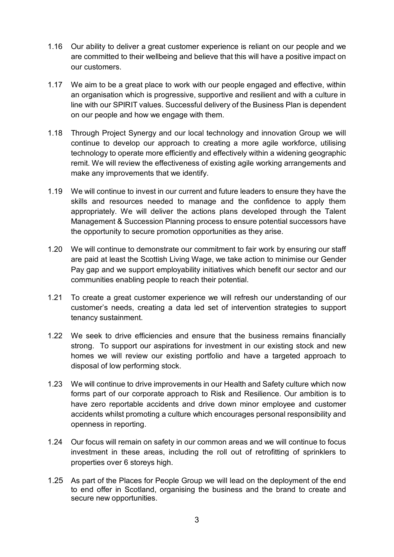- 1.16 Our ability to deliver a great customer experience is reliant on our people and we are committed to their wellbeing and believe that this will have a positive impact on our customers.
- 1.17 We aim to be a great place to work with our people engaged and effective, within an organisation which is progressive, supportive and resilient and with a culture in line with our SPIRIT values. Successful delivery of the Business Plan is dependent on our people and how we engage with them.
- 1.18 Through Project Synergy and our local technology and innovation Group we will continue to develop our approach to creating a more agile workforce, utilising technology to operate more efficiently and effectively within a widening geographic remit. We will review the effectiveness of existing agile working arrangements and make any improvements that we identify.
- 1.19 We will continue to invest in our current and future leaders to ensure they have the skills and resources needed to manage and the confidence to apply them appropriately. We will deliver the actions plans developed through the Talent Management & Succession Planning process to ensure potential successors have the opportunity to secure promotion opportunities as they arise.
- 1.20 We will continue to demonstrate our commitment to fair work by ensuring our staff are paid at least the Scottish Living Wage, we take action to minimise our Gender Pay gap and we support employability initiatives which benefit our sector and our communities enabling people to reach their potential.
- 1.21 To create a great customer experience we will refresh our understanding of our customer's needs, creating a data led set of intervention strategies to support tenancy sustainment.
- 1.22 We seek to drive efficiencies and ensure that the business remains financially strong. To support our aspirations for investment in our existing stock and new homes we will review our existing portfolio and have a targeted approach to disposal of low performing stock.
- 1.23 We will continue to drive improvements in our Health and Safety culture which now forms part of our corporate approach to Risk and Resilience. Our ambition is to have zero reportable accidents and drive down minor employee and customer accidents whilst promoting a culture which encourages personal responsibility and openness in reporting.
- 1.24 Our focus will remain on safety in our common areas and we will continue to focus investment in these areas, including the roll out of retrofitting of sprinklers to properties over 6 storeys high.
- 1.25 As part of the Places for People Group we will lead on the deployment of the end to end offer in Scotland, organising the business and the brand to create and secure new opportunities.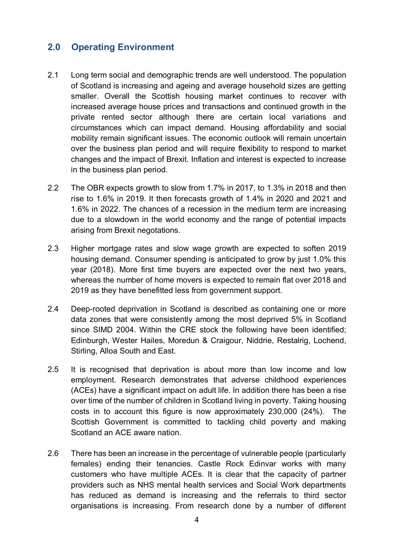### **2.0 Operating Environment**

- 2.1 Long term social and demographic trends are well understood. The population of Scotland is increasing and ageing and average household sizes are getting smaller. Overall the Scottish housing market continues to recover with increased average house prices and transactions and continued growth in the private rented sector although there are certain local variations and circumstances which can impact demand. Housing affordability and social mobility remain significant issues. The economic outlook will remain uncertain over the business plan period and will require flexibility to respond to market changes and the impact of Brexit. Inflation and interest is expected to increase in the business plan period.
- 2.2 The OBR expects growth to slow from 1.7% in 2017, to 1.3% in 2018 and then rise to 1.6% in 2019. It then forecasts growth of 1.4% in 2020 and 2021 and 1.6% in 2022. The chances of a recession in the medium term are increasing due to a slowdown in the world economy and the range of potential impacts arising from Brexit negotations.
- 2.3 Higher mortgage rates and slow wage growth are expected to soften 2019 housing demand. Consumer spending is anticipated to grow by just 1.0% this year (2018). More first time buyers are expected over the next two years, whereas the number of home movers is expected to remain flat over 2018 and 2019 as they have benefitted less from government support.
- 2.4 Deep-rooted deprivation in Scotland is described as containing one or more data zones that were consistently among the most deprived 5% in Scotland since SIMD 2004. Within the CRE stock the following have been identified; Edinburgh, Wester Hailes, Moredun & Craigour, Niddrie, Restalrig, Lochend, Stirling, Alloa South and East.
- 2.5 It is recognised that deprivation is about more than low income and low employment. Research demonstrates that adverse childhood experiences (ACEs) have a significant impact on adult life. In addition there has been a rise over time of the number of children in Scotland living in poverty. Taking housing costs in to account this figure is now approximately 230,000 (24%). The Scottish Government is committed to tackling child poverty and making Scotland an ACE aware nation.
- 2.6 There has been an increase in the percentage of vulnerable people (particularly females) ending their tenancies. Castle Rock Edinvar works with many customers who have multiple ACEs. It is clear that the capacity of partner providers such as NHS mental health services and Social Work departments has reduced as demand is increasing and the referrals to third sector organisations is increasing. From research done by a number of different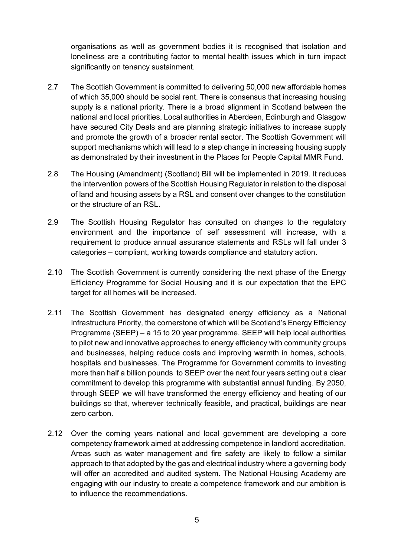organisations as well as government bodies it is recognised that isolation and loneliness are a contributing factor to mental health issues which in turn impact significantly on tenancy sustainment.

- 2.7 The Scottish Government is committed to delivering 50,000 new affordable homes of which 35,000 should be social rent. There is consensus that increasing housing supply is a national priority. There is a broad alignment in Scotland between the national and local priorities. Local authorities in Aberdeen, Edinburgh and Glasgow have secured City Deals and are planning strategic initiatives to increase supply and promote the growth of a broader rental sector. The Scottish Government will support mechanisms which will lead to a step change in increasing housing supply as demonstrated by their investment in the Places for People Capital MMR Fund.
- 2.8 The Housing (Amendment) (Scotland) Bill will be implemented in 2019. It reduces the intervention powers of the Scottish Housing Regulator in relation to the disposal of land and housing assets by a RSL and consent over changes to the constitution or the structure of an RSL.
- 2.9 The Scottish Housing Regulator has consulted on changes to the regulatory environment and the importance of self assessment will increase, with a requirement to produce annual assurance statements and RSLs will fall under 3 categories – compliant, working towards compliance and statutory action.
- 2.10 The Scottish Government is currently considering the next phase of the Energy Efficiency Programme for Social Housing and it is our expectation that the EPC target for all homes will be increased.
- 2.11 The Scottish Government has designated energy efficiency as a National Infrastructure Priority, the cornerstone of which will be Scotland's Energy Efficiency Programme (SEEP) – a 15 to 20 year programme. SEEP will help local authorities to pilot new and innovative approaches to energy efficiency with community groups and businesses, helping reduce costs and improving warmth in homes, schools, hospitals and businesses. The Programme for Government commits to investing more than half a billion pounds to SEEP over the next four years setting out a clear commitment to develop this programme with substantial annual funding. By 2050, through SEEP we will have transformed the energy efficiency and heating of our buildings so that, wherever technically feasible, and practical, buildings are near zero carbon.
- 2.12 Over the coming years national and local government are developing a core competency framework aimed at addressing competence in landlord accreditation. Areas such as water management and fire safety are likely to follow a similar approach to that adopted by the gas and electrical industry where a governing body will offer an accredited and audited system. The National Housing Academy are engaging with our industry to create a competence framework and our ambition is to influence the recommendations.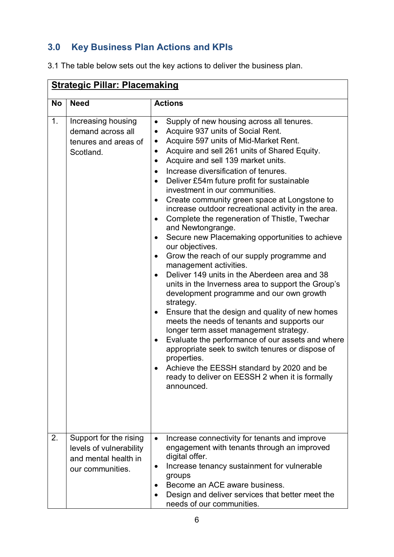# **3.0 Key Business Plan Actions and KPIs**

3.1 The table below sets out the key actions to deliver the business plan.

|           | <b>Strategic Pillar: Placemaking</b>                                                          |                                                                                                                                                                                                                                                                                                                                                                                                                                                                                                                                                                                                                                                                                                                                                                                                                                                                                                                                                                                                                                                                                                                                                                                                                                                                                           |  |  |  |
|-----------|-----------------------------------------------------------------------------------------------|-------------------------------------------------------------------------------------------------------------------------------------------------------------------------------------------------------------------------------------------------------------------------------------------------------------------------------------------------------------------------------------------------------------------------------------------------------------------------------------------------------------------------------------------------------------------------------------------------------------------------------------------------------------------------------------------------------------------------------------------------------------------------------------------------------------------------------------------------------------------------------------------------------------------------------------------------------------------------------------------------------------------------------------------------------------------------------------------------------------------------------------------------------------------------------------------------------------------------------------------------------------------------------------------|--|--|--|
| <b>No</b> | <b>Need</b>                                                                                   | <b>Actions</b>                                                                                                                                                                                                                                                                                                                                                                                                                                                                                                                                                                                                                                                                                                                                                                                                                                                                                                                                                                                                                                                                                                                                                                                                                                                                            |  |  |  |
| 1.        | Increasing housing<br>demand across all<br>tenures and areas of<br>Scotland.                  | Supply of new housing across all tenures.<br>٠<br>Acquire 937 units of Social Rent.<br>Acquire 597 units of Mid-Market Rent.<br>$\bullet$<br>Acquire and sell 261 units of Shared Equity.<br>٠<br>Acquire and sell 139 market units.<br>٠<br>Increase diversification of tenures.<br>$\bullet$<br>Deliver £54m future profit for sustainable<br>investment in our communities.<br>Create community green space at Longstone to<br>$\bullet$<br>increase outdoor recreational activity in the area.<br>Complete the regeneration of Thistle, Twechar<br>$\bullet$<br>and Newtongrange.<br>Secure new Placemaking opportunities to achieve<br>our objectives.<br>Grow the reach of our supply programme and<br>management activities.<br>Deliver 149 units in the Aberdeen area and 38<br>units in the Inverness area to support the Group's<br>development programme and our own growth<br>strategy.<br>Ensure that the design and quality of new homes<br>meets the needs of tenants and supports our<br>longer term asset management strategy.<br>Evaluate the performance of our assets and where<br>٠<br>appropriate seek to switch tenures or dispose of<br>properties.<br>Achieve the EESSH standard by 2020 and be<br>ready to deliver on EESSH 2 when it is formally<br>announced. |  |  |  |
| 2.        | Support for the rising<br>levels of vulnerability<br>and mental health in<br>our communities. | Increase connectivity for tenants and improve<br>$\bullet$<br>engagement with tenants through an improved<br>digital offer.<br>Increase tenancy sustainment for vulnerable<br>groups<br>Become an ACE aware business.<br>٠<br>Design and deliver services that better meet the<br>needs of our communities.                                                                                                                                                                                                                                                                                                                                                                                                                                                                                                                                                                                                                                                                                                                                                                                                                                                                                                                                                                               |  |  |  |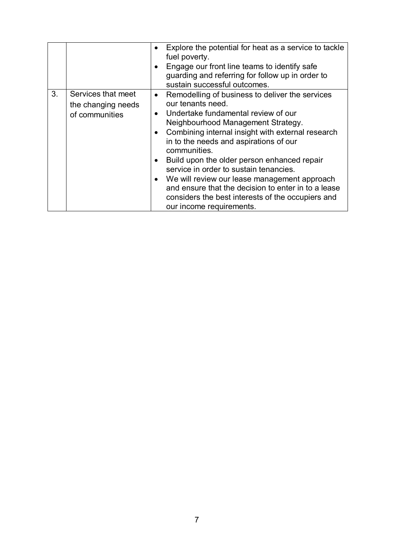|    |                                                            | Explore the potential for heat as a service to tackle<br>fuel poverty.<br>Engage our front line teams to identify safe<br>guarding and referring for follow up in order to<br>sustain successful outcomes.                                                                                                                                                                                                                                                                                                                                          |
|----|------------------------------------------------------------|-----------------------------------------------------------------------------------------------------------------------------------------------------------------------------------------------------------------------------------------------------------------------------------------------------------------------------------------------------------------------------------------------------------------------------------------------------------------------------------------------------------------------------------------------------|
| 3. | Services that meet<br>the changing needs<br>of communities | • Remodelling of business to deliver the services<br>our tenants need.<br>Undertake fundamental review of our<br>Neighbourhood Management Strategy.<br>Combining internal insight with external research<br>in to the needs and aspirations of our<br>communities.<br>Build upon the older person enhanced repair<br>service in order to sustain tenancies.<br>We will review our lease management approach<br>and ensure that the decision to enter in to a lease<br>considers the best interests of the occupiers and<br>our income requirements. |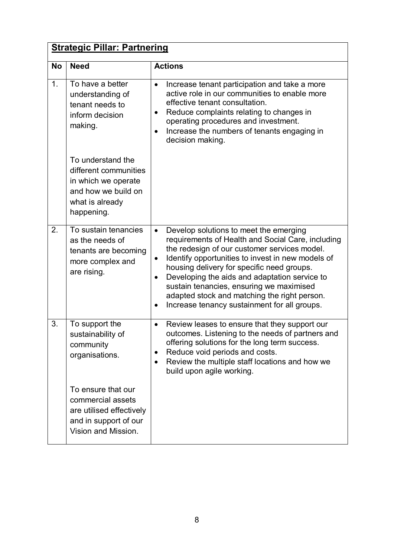|           | <b>Strategic Pillar: Partnering</b>                                                                                       |                                                                                                                                                                                                                                                                                                                                                                                                                                                                                    |  |  |
|-----------|---------------------------------------------------------------------------------------------------------------------------|------------------------------------------------------------------------------------------------------------------------------------------------------------------------------------------------------------------------------------------------------------------------------------------------------------------------------------------------------------------------------------------------------------------------------------------------------------------------------------|--|--|
| <b>No</b> | <b>Need</b>                                                                                                               | <b>Actions</b>                                                                                                                                                                                                                                                                                                                                                                                                                                                                     |  |  |
| 1.        | To have a better<br>understanding of<br>tenant needs to<br>inform decision<br>making.                                     | Increase tenant participation and take a more<br>active role in our communities to enable more<br>effective tenant consultation.<br>Reduce complaints relating to changes in<br>$\bullet$<br>operating procedures and investment.<br>Increase the numbers of tenants engaging in<br>decision making.                                                                                                                                                                               |  |  |
|           | To understand the<br>different communities<br>in which we operate<br>and how we build on<br>what is already<br>happening. |                                                                                                                                                                                                                                                                                                                                                                                                                                                                                    |  |  |
| 2.        | To sustain tenancies<br>as the needs of<br>tenants are becoming<br>more complex and<br>are rising.                        | Develop solutions to meet the emerging<br>$\bullet$<br>requirements of Health and Social Care, including<br>the redesign of our customer services model.<br>Identify opportunities to invest in new models of<br>$\bullet$<br>housing delivery for specific need groups.<br>Developing the aids and adaptation service to<br>$\bullet$<br>sustain tenancies, ensuring we maximised<br>adapted stock and matching the right person.<br>Increase tenancy sustainment for all groups. |  |  |
| 3.        | To support the<br>sustainability of<br>community<br>organisations.                                                        | Review leases to ensure that they support our<br>$\bullet$<br>outcomes. Listening to the needs of partners and<br>offering solutions for the long term success.<br>Reduce void periods and costs.<br>٠<br>Review the multiple staff locations and how we<br>$\bullet$<br>build upon agile working.                                                                                                                                                                                 |  |  |
|           | To ensure that our<br>commercial assets<br>are utilised effectively<br>and in support of our<br>Vision and Mission.       |                                                                                                                                                                                                                                                                                                                                                                                                                                                                                    |  |  |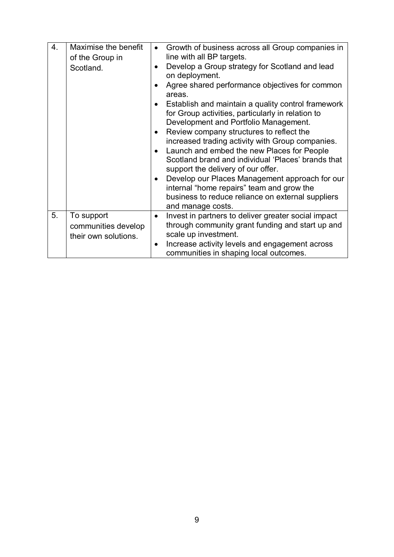| 4. | Maximise the benefit<br>of the Group in<br>Scotland.      | Growth of business across all Group companies in<br>line with all BP targets.<br>Develop a Group strategy for Scotland and lead<br>on deployment.<br>Agree shared performance objectives for common<br>areas.<br>Establish and maintain a quality control framework<br>for Group activities, particularly in relation to<br>Development and Portfolio Management.<br>Review company structures to reflect the<br>$\bullet$<br>increased trading activity with Group companies.<br>Launch and embed the new Places for People<br>Scotland brand and individual 'Places' brands that<br>support the delivery of our offer.<br>Develop our Places Management approach for our<br>٠<br>internal "home repairs" team and grow the<br>business to reduce reliance on external suppliers<br>and manage costs. |
|----|-----------------------------------------------------------|--------------------------------------------------------------------------------------------------------------------------------------------------------------------------------------------------------------------------------------------------------------------------------------------------------------------------------------------------------------------------------------------------------------------------------------------------------------------------------------------------------------------------------------------------------------------------------------------------------------------------------------------------------------------------------------------------------------------------------------------------------------------------------------------------------|
| 5. | To support<br>communities develop<br>their own solutions. | Invest in partners to deliver greater social impact<br>$\bullet$<br>through community grant funding and start up and<br>scale up investment.<br>Increase activity levels and engagement across<br>٠<br>communities in shaping local outcomes.                                                                                                                                                                                                                                                                                                                                                                                                                                                                                                                                                          |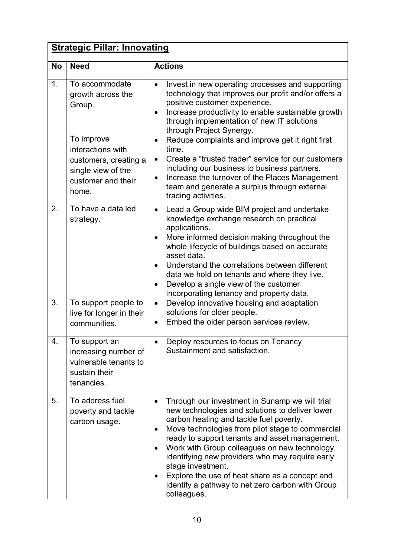|                  | <b>Strategic Pillar: Innovating</b>                                                                                                                            |                                                                                                                                                                                                                                                                                                                                                                                                                                                                                                                                                                                    |  |  |  |
|------------------|----------------------------------------------------------------------------------------------------------------------------------------------------------------|------------------------------------------------------------------------------------------------------------------------------------------------------------------------------------------------------------------------------------------------------------------------------------------------------------------------------------------------------------------------------------------------------------------------------------------------------------------------------------------------------------------------------------------------------------------------------------|--|--|--|
| <b>No</b>        | <b>Need</b>                                                                                                                                                    | <b>Actions</b>                                                                                                                                                                                                                                                                                                                                                                                                                                                                                                                                                                     |  |  |  |
| 1.               | To accommodate<br>growth across the<br>Group.<br>To improve<br>interactions with<br>customers, creating a<br>single view of the<br>customer and their<br>home. | Invest in new operating processes and supporting<br>technology that improves our profit and/or offers a<br>positive customer experience.<br>Increase productivity to enable sustainable growth<br>$\bullet$<br>through implementation of new IT solutions<br>through Project Synergy.<br>Reduce complaints and improve get it right first<br>time.<br>Create a "trusted trader" service for our customers<br>including our business to business partners.<br>Increase the turnover of the Places Management<br>team and generate a surplus through external<br>trading activities. |  |  |  |
| 2.               | To have a data led<br>strategy.                                                                                                                                | Lead a Group wide BIM project and undertake<br>$\bullet$<br>knowledge exchange research on practical<br>applications.<br>More informed decision making throughout the<br>whole lifecycle of buildings based on accurate<br>asset data.<br>Understand the correlations between different<br>data we hold on tenants and where they live.<br>Develop a single view of the customer<br>$\bullet$<br>incorporating tenancy and property data.                                                                                                                                          |  |  |  |
| 3.               | To support people to<br>live for longer in their<br>communities.                                                                                               | Develop innovative housing and adaptation<br>$\bullet$<br>solutions for older people.<br>Embed the older person services review.<br>$\bullet$                                                                                                                                                                                                                                                                                                                                                                                                                                      |  |  |  |
| $\overline{4}$ . | To support an<br>increasing number of<br>vulnerable tenants to<br>sustain their<br>tenancies.                                                                  | Deploy resources to focus on Tenancy<br>Sustainment and satisfaction.                                                                                                                                                                                                                                                                                                                                                                                                                                                                                                              |  |  |  |
| 5.               | To address fuel<br>poverty and tackle<br>carbon usage.                                                                                                         | Through our investment in Sunamp we will trial<br>٠<br>new technologies and solutions to deliver lower<br>carbon heating and tackle fuel poverty.<br>Move technologies from pilot stage to commercial<br>٠<br>ready to support tenants and asset management.<br>Work with Group colleagues on new technology,<br>٠<br>identifying new providers who may require early<br>stage investment.<br>Explore the use of heat share as a concept and<br>$\bullet$<br>identify a pathway to net zero carbon with Group<br>colleagues.                                                       |  |  |  |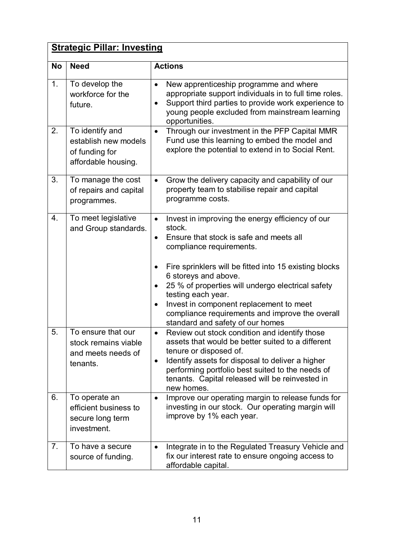|           | <b>Strategic Pillar: Investing</b>                                               |                                                                                                                                                                                                                                                                                                                                                                                                                                                            |  |  |  |
|-----------|----------------------------------------------------------------------------------|------------------------------------------------------------------------------------------------------------------------------------------------------------------------------------------------------------------------------------------------------------------------------------------------------------------------------------------------------------------------------------------------------------------------------------------------------------|--|--|--|
| <b>No</b> | <b>Need</b>                                                                      | <b>Actions</b>                                                                                                                                                                                                                                                                                                                                                                                                                                             |  |  |  |
| 1.        | To develop the<br>workforce for the<br>future.                                   | New apprenticeship programme and where<br>$\bullet$<br>appropriate support individuals in to full time roles.<br>Support third parties to provide work experience to<br>young people excluded from mainstream learning<br>opportunities.                                                                                                                                                                                                                   |  |  |  |
| 2.        | To identify and<br>establish new models<br>of funding for<br>affordable housing. | Through our investment in the PFP Capital MMR<br>$\bullet$<br>Fund use this learning to embed the model and<br>explore the potential to extend in to Social Rent.                                                                                                                                                                                                                                                                                          |  |  |  |
| 3.        | To manage the cost<br>of repairs and capital<br>programmes.                      | Grow the delivery capacity and capability of our<br>$\bullet$<br>property team to stabilise repair and capital<br>programme costs.                                                                                                                                                                                                                                                                                                                         |  |  |  |
| 4.        | To meet legislative<br>and Group standards.                                      | Invest in improving the energy efficiency of our<br>$\bullet$<br>stock.<br>Ensure that stock is safe and meets all<br>compliance requirements.<br>Fire sprinklers will be fitted into 15 existing blocks<br>6 storeys and above.<br>25 % of properties will undergo electrical safety<br>testing each year.<br>Invest in component replacement to meet<br>$\bullet$<br>compliance requirements and improve the overall<br>standard and safety of our homes |  |  |  |
| 5.        | To ensure that our<br>stock remains viable<br>and meets needs of<br>tenants.     | Review out stock condition and identify those<br>assets that would be better suited to a different<br>tenure or disposed of.<br>Identify assets for disposal to deliver a higher<br>٠<br>performing portfolio best suited to the needs of<br>tenants. Capital released will be reinvested in<br>new homes.                                                                                                                                                 |  |  |  |
| 6.        | To operate an<br>efficient business to<br>secure long term<br>investment.        | Improve our operating margin to release funds for<br>$\bullet$<br>investing in our stock. Our operating margin will<br>improve by 1% each year.                                                                                                                                                                                                                                                                                                            |  |  |  |
| 7.        | To have a secure<br>source of funding.                                           | Integrate in to the Regulated Treasury Vehicle and<br>$\bullet$<br>fix our interest rate to ensure ongoing access to<br>affordable capital.                                                                                                                                                                                                                                                                                                                |  |  |  |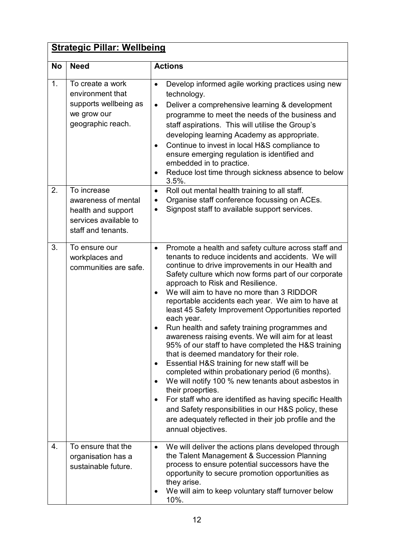|           | <b>Strategic Pillar: Wellbeing</b>                                                                      |                                                                                                                                                                                                                                                                                                                                                                                                                                                                                                                                                                                                                                                                                                                                                                                                                                                                                                                                                                                                                                              |  |  |
|-----------|---------------------------------------------------------------------------------------------------------|----------------------------------------------------------------------------------------------------------------------------------------------------------------------------------------------------------------------------------------------------------------------------------------------------------------------------------------------------------------------------------------------------------------------------------------------------------------------------------------------------------------------------------------------------------------------------------------------------------------------------------------------------------------------------------------------------------------------------------------------------------------------------------------------------------------------------------------------------------------------------------------------------------------------------------------------------------------------------------------------------------------------------------------------|--|--|
| <b>No</b> | <b>Need</b>                                                                                             | <b>Actions</b>                                                                                                                                                                                                                                                                                                                                                                                                                                                                                                                                                                                                                                                                                                                                                                                                                                                                                                                                                                                                                               |  |  |
| 1.        | To create a work<br>environment that<br>supports wellbeing as<br>we grow our<br>geographic reach.       | Develop informed agile working practices using new<br>$\bullet$<br>technology.<br>Deliver a comprehensive learning & development<br>$\bullet$<br>programme to meet the needs of the business and<br>staff aspirations. This will utilise the Group's<br>developing learning Academy as appropriate.<br>Continue to invest in local H&S compliance to<br>$\bullet$<br>ensure emerging regulation is identified and<br>embedded in to practice.<br>Reduce lost time through sickness absence to below<br>$3.5%$ .                                                                                                                                                                                                                                                                                                                                                                                                                                                                                                                              |  |  |
| 2.        | To increase<br>awareness of mental<br>health and support<br>services available to<br>staff and tenants. | Roll out mental health training to all staff.<br>$\bullet$<br>Organise staff conference focussing on ACEs.<br>$\bullet$<br>Signpost staff to available support services.<br>$\bullet$                                                                                                                                                                                                                                                                                                                                                                                                                                                                                                                                                                                                                                                                                                                                                                                                                                                        |  |  |
| 3.        | To ensure our<br>workplaces and<br>communities are safe.                                                | Promote a health and safety culture across staff and<br>$\bullet$<br>tenants to reduce incidents and accidents. We will<br>continue to drive improvements in our Health and<br>Safety culture which now forms part of our corporate<br>approach to Risk and Resilience.<br>We will aim to have no more than 3 RIDDOR<br>reportable accidents each year. We aim to have at<br>least 45 Safety Improvement Opportunities reported<br>each year.<br>Run health and safety training programmes and<br>awareness raising events. We will aim for at least<br>95% of our staff to have completed the H&S training<br>that is deemed mandatory for their role.<br>Essential H&S training for new staff will be<br>٠<br>completed within probationary period (6 months).<br>We will notify 100 % new tenants about asbestos in<br>their proeprties.<br>For staff who are identified as having specific Health<br>and Safety responsibilities in our H&S policy, these<br>are adequately reflected in their job profile and the<br>annual objectives. |  |  |
| 4.        | To ensure that the<br>organisation has a<br>sustainable future.                                         | We will deliver the actions plans developed through<br>$\bullet$<br>the Talent Management & Succession Planning<br>process to ensure potential successors have the<br>opportunity to secure promotion opportunities as<br>they arise.<br>We will aim to keep voluntary staff turnover below<br>10%.                                                                                                                                                                                                                                                                                                                                                                                                                                                                                                                                                                                                                                                                                                                                          |  |  |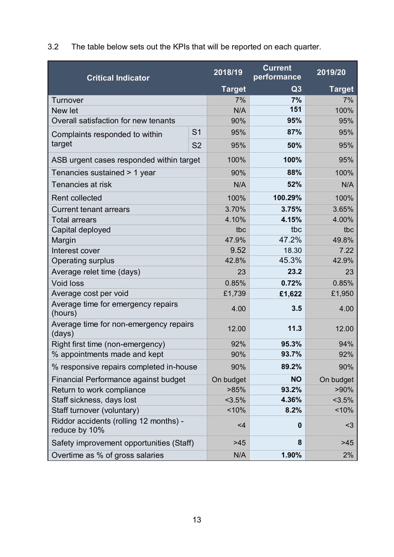3.2 The table below sets out the KPIs that will be reported on each quarter.

| <b>Critical Indicator</b>                               |                | 2018/19       | <b>Current</b><br>performance | 2019/20       |
|---------------------------------------------------------|----------------|---------------|-------------------------------|---------------|
|                                                         |                | <b>Target</b> | Q3                            | <b>Target</b> |
| <b>Turnover</b>                                         |                | 7%            | 7%                            | 7%            |
| New let                                                 |                | N/A           | 151                           | 100%          |
| Overall satisfaction for new tenants                    |                | 90%           | 95%                           | 95%           |
| Complaints responded to within                          | S <sub>1</sub> | 95%           | 87%                           | 95%           |
| target                                                  | <b>S2</b>      | 95%           | 50%                           | 95%           |
| ASB urgent cases responded within target                |                | 100%          | 100%                          | 95%           |
| Tenancies sustained > 1 year                            |                | 90%           | 88%                           | 100%          |
| Tenancies at risk                                       |                | N/A           | 52%                           | N/A           |
| <b>Rent collected</b>                                   |                | 100%          | 100.29%                       | 100%          |
| <b>Current tenant arrears</b>                           |                | 3.70%         | 3.75%                         | 3.65%         |
| <b>Total arrears</b>                                    |                | 4.10%         | 4.15%                         | 4.00%         |
| Capital deployed                                        |                | tbc           | tbc                           | tbc           |
| Margin                                                  |                | 47.9%         | 47.2%                         | 49.8%         |
| Interest cover                                          |                | 9.52          | 18.30                         | 7.22          |
| <b>Operating surplus</b>                                |                | 42.8%         | 45.3%                         | 42.9%         |
| Average relet time (days)                               |                | 23            | 23.2                          | 23            |
| <b>Void loss</b>                                        |                | 0.85%         | 0.72%                         | 0.85%         |
| Average cost per void                                   |                | £1,739        | £1,622                        | £1,950        |
| Average time for emergency repairs<br>(hours)           |                | 4.00          | 3.5                           | 4.00          |
| Average time for non-emergency repairs<br>(days)        |                | 12.00         | 11.3                          | 12.00         |
| Right first time (non-emergency)                        |                | 92%           | 95.3%                         | 94%           |
| % appointments made and kept                            |                | 90%           | 93.7%                         | 92%           |
| % responsive repairs completed in-house                 |                | 90%           | 89.2%                         | 90%           |
| Financial Performance against budget                    |                | On budget     | <b>NO</b>                     | On budget     |
| Return to work compliance                               |                | >85%          | 93.2%                         | $>90\%$       |
| Staff sickness, days lost                               |                | 3.5%          | 4.36%                         | $< 3.5\%$     |
| Staff turnover (voluntary)                              |                | $~10\%$       | 8.2%                          | 10%           |
| Riddor accidents (rolling 12 months) -<br>reduce by 10% |                | $<$ 4         | $\bf{0}$                      | $3$           |
| Safety improvement opportunities (Staff)                |                | $>45$         | 8                             | $>45$         |
| Overtime as % of gross salaries                         |                | N/A           | 1.90%                         | 2%            |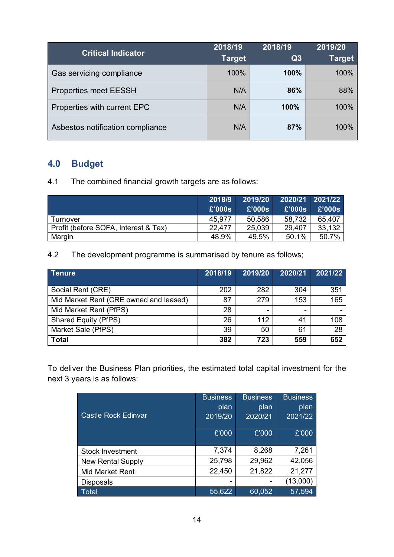| <b>Critical Indicator</b>        | 2018/19<br><b>Target</b> | 2018/19<br>Q3 | 2019/20<br><b>Target</b> |
|----------------------------------|--------------------------|---------------|--------------------------|
| Gas servicing compliance         | 100%                     | 100%          | 100%                     |
| <b>Properties meet EESSH</b>     | N/A                      | 86%           | 88%                      |
| Properties with current EPC      | N/A                      | 100%          | 100%                     |
| Asbestos notification compliance | N/A                      | 87%           | 100%                     |

# **4.0 Budget**

4.1 The combined financial growth targets are as follows:

|                                      | 2018/9 | 2019/20 |               | 2020/21 2021/22 |
|--------------------------------------|--------|---------|---------------|-----------------|
|                                      | £'000s | £'000s  | <b>E'000s</b> | £'000s          |
| Turnover                             | 45.977 | 50,586  | 58,732        | 65,407          |
| Profit (before SOFA, Interest & Tax) | 22.477 | 25,039  | 29,407        | 33,132          |
| Margin                               | 48.9%  | 49.5%   | 50.1%         | 50.7%           |

4.2 The development programme is summarised by tenure as follows;

| <b>Tenure</b>                          | 2018/19 | 2019/20 | 2020/21 | 2021/22 |
|----------------------------------------|---------|---------|---------|---------|
|                                        |         | 282     | 304     | 351     |
| Social Rent (CRE)                      | 202     |         |         |         |
| Mid Market Rent (CRE owned and leased) | 87      | 279     | 153     | 165     |
| Mid Market Rent (PfPS)                 | 28      | -       | -       |         |
| <b>Shared Equity (PfPS)</b>            | 26      | 112     | 41      | 108     |
| Market Sale (PfPS)                     | 39      | 50      | 61      | 28      |
| <b>Total</b>                           | 382     | 723     | 559     | 652     |

To deliver the Business Plan priorities, the estimated total capital investment for the next 3 years is as follows:

|                            | <b>Business</b> | <b>Business</b> | <b>Business</b> |
|----------------------------|-----------------|-----------------|-----------------|
|                            | plan            | plan            | plan            |
| <b>Castle Rock Edinvar</b> | 2019/20         | 2020/21         | 2021/22         |
|                            | £'000           | £'000           | £'000           |
| Stock Investment           | 7,374           | 8,268           | 7,261           |
| <b>New Rental Supply</b>   | 25,798          | 29,962          | 42,056          |
| Mid Market Rent            | 22,450          | 21,822          | 21,277          |
| <b>Disposals</b>           | -               |                 | (13,000)        |
| <b>Total</b>               | 55,622          | 60,052          | 57,594          |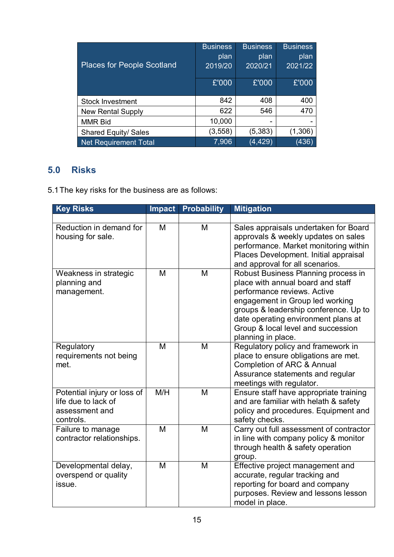| <b>Places for People Scotland</b> | <b>Business</b><br>plan<br>2019/20 | <b>Business</b><br>plan<br>2020/21 | <b>Business</b><br>plan<br>2021/22 |
|-----------------------------------|------------------------------------|------------------------------------|------------------------------------|
|                                   | £'000                              | £'000                              | £'000                              |
| <b>Stock Investment</b>           | 842                                | 408                                | 400                                |
| <b>New Rental Supply</b>          | 622                                | 546                                | 470                                |
| <b>MMR Bid</b>                    | 10,000                             | -                                  |                                    |
| <b>Shared Equity/ Sales</b>       | (3, 558)                           | (5, 383)                           | (1,306)                            |
| Net Requirement Total             | 7,906                              | (4, 429)                           | (436)                              |

## **5.0 Risks**

5.1The key risks for the business are as follows:

| <b>Key Risks</b>                                                                  | <b>Impact</b> | <b>Probability</b> | <b>Mitigation</b>                                                                                                                                                                                                                                                                      |
|-----------------------------------------------------------------------------------|---------------|--------------------|----------------------------------------------------------------------------------------------------------------------------------------------------------------------------------------------------------------------------------------------------------------------------------------|
|                                                                                   |               |                    |                                                                                                                                                                                                                                                                                        |
| Reduction in demand for<br>housing for sale.                                      | M             | M                  | Sales appraisals undertaken for Board<br>approvals & weekly updates on sales<br>performance. Market monitoring within<br>Places Development. Initial appraisal<br>and approval for all scenarios.                                                                                      |
| Weakness in strategic<br>planning and<br>management.                              | M             | M                  | Robust Business Planning process in<br>place with annual board and staff<br>performance reviews. Active<br>engagement in Group led working<br>groups & leadership conference. Up to<br>date operating environment plans at<br>Group & local level and succession<br>planning in place. |
| Regulatory<br>requirements not being<br>met.                                      | M             | M                  | Regulatory policy and framework in<br>place to ensure obligations are met.<br>Completion of ARC & Annual<br>Assurance statements and regular<br>meetings with regulator.                                                                                                               |
| Potential injury or loss of<br>life due to lack of<br>assessment and<br>controls. | M/H           | M                  | Ensure staff have appropriate training<br>and are familiar with helath & safety<br>policy and procedures. Equipment and<br>safety checks.                                                                                                                                              |
| Failure to manage<br>contractor relationships.                                    | M             | M                  | Carry out full assessment of contractor<br>in line with company policy & monitor<br>through health & safety operation<br>group.                                                                                                                                                        |
| Developmental delay,<br>overspend or quality<br>issue.                            | M             | M                  | Effective project management and<br>accurate, regular tracking and<br>reporting for board and company<br>purposes. Review and lessons lesson<br>model in place.                                                                                                                        |